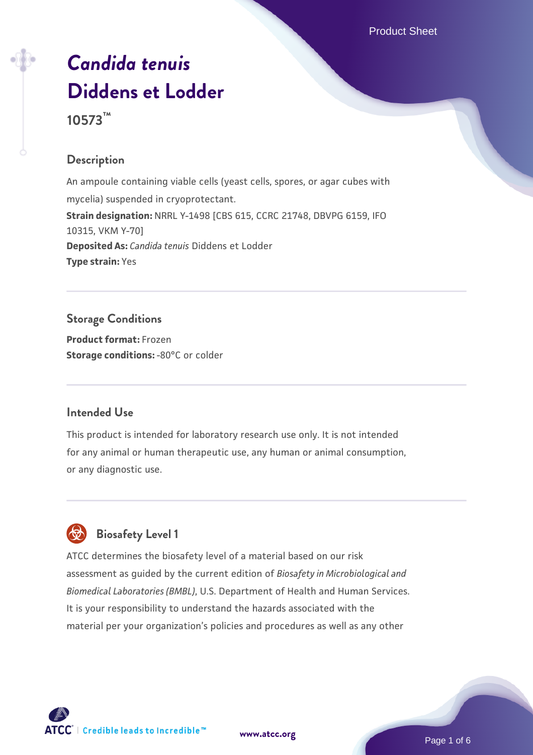# *[Candida tenuis](https://www.atcc.org/products/10573)* **[Diddens et Lodder](https://www.atcc.org/products/10573) 10573™**

## **Description**

An ampoule containing viable cells (yeast cells, spores, or agar cubes with mycelia) suspended in cryoprotectant. **Strain designation:** NRRL Y-1498 [CBS 615, CCRC 21748, DBVPG 6159, IFO 10315, VKM Y-70] **Deposited As:** *Candida tenuis* Diddens et Lodder **Type strain:** Yes

## **Storage Conditions**

**Product format:** Frozen **Storage conditions: -80°C or colder** 

## **Intended Use**

This product is intended for laboratory research use only. It is not intended for any animal or human therapeutic use, any human or animal consumption, or any diagnostic use.



# **Biosafety Level 1**

ATCC determines the biosafety level of a material based on our risk assessment as guided by the current edition of *Biosafety in Microbiological and Biomedical Laboratories (BMBL)*, U.S. Department of Health and Human Services. It is your responsibility to understand the hazards associated with the material per your organization's policies and procedures as well as any other



**[www.atcc.org](http://www.atcc.org)**

Page 1 of 6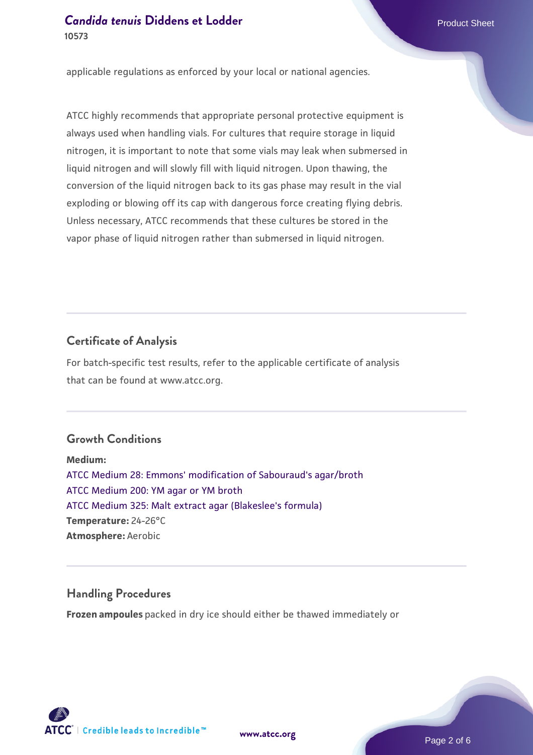applicable regulations as enforced by your local or national agencies.

ATCC highly recommends that appropriate personal protective equipment is always used when handling vials. For cultures that require storage in liquid nitrogen, it is important to note that some vials may leak when submersed in liquid nitrogen and will slowly fill with liquid nitrogen. Upon thawing, the conversion of the liquid nitrogen back to its gas phase may result in the vial exploding or blowing off its cap with dangerous force creating flying debris. Unless necessary, ATCC recommends that these cultures be stored in the vapor phase of liquid nitrogen rather than submersed in liquid nitrogen.

### **Certificate of Analysis**

For batch-specific test results, refer to the applicable certificate of analysis that can be found at www.atcc.org.

## **Growth Conditions**

**Medium:**  [ATCC Medium 28: Emmons' modification of Sabouraud's agar/broth](https://www.atcc.org/-/media/product-assets/documents/microbial-media-formulations/2/8/atcc-medium-28.pdf?rev=0da0c58cc2a343eeae735016b70809bb) [ATCC Medium 200: YM agar or YM broth](https://www.atcc.org/-/media/product-assets/documents/microbial-media-formulations/2/0/0/atcc-medium-200.pdf?rev=ac40fd74dc13433a809367b0b9da30fc) [ATCC Medium 325: Malt extract agar \(Blakeslee's formula\)](https://www.atcc.org/-/media/product-assets/documents/microbial-media-formulations/3/2/5/atcc-medium-325.pdf?rev=146ec77015184a96912232dcb12386f9) **Temperature:** 24-26°C **Atmosphere:** Aerobic

## **Handling Procedures**

**Frozen ampoules** packed in dry ice should either be thawed immediately or

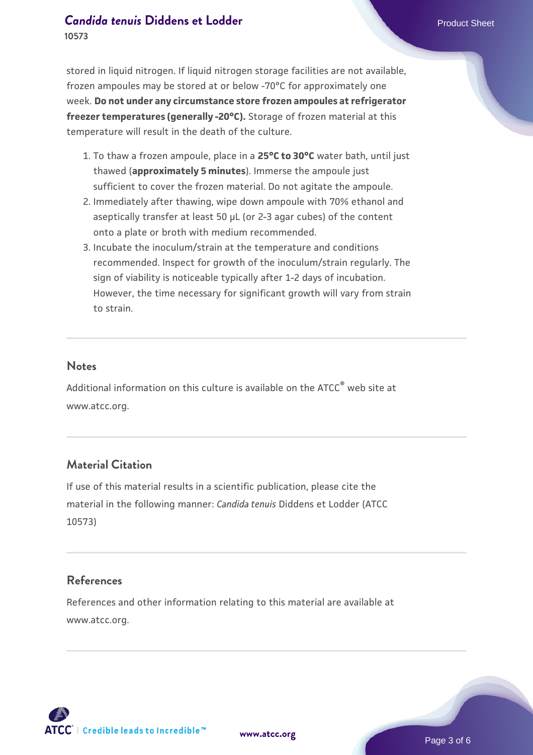stored in liquid nitrogen. If liquid nitrogen storage facilities are not available, frozen ampoules may be stored at or below -70°C for approximately one week. **Do not under any circumstance store frozen ampoules at refrigerator freezer temperatures (generally -20°C).** Storage of frozen material at this temperature will result in the death of the culture.

- 1. To thaw a frozen ampoule, place in a **25°C to 30°C** water bath, until just thawed (**approximately 5 minutes**). Immerse the ampoule just sufficient to cover the frozen material. Do not agitate the ampoule.
- 2. Immediately after thawing, wipe down ampoule with 70% ethanol and aseptically transfer at least 50 µL (or 2-3 agar cubes) of the content onto a plate or broth with medium recommended.
- 3. Incubate the inoculum/strain at the temperature and conditions recommended. Inspect for growth of the inoculum/strain regularly. The sign of viability is noticeable typically after 1-2 days of incubation. However, the time necessary for significant growth will vary from strain to strain.

#### **Notes**

Additional information on this culture is available on the ATCC® web site at www.atcc.org.

## **Material Citation**

If use of this material results in a scientific publication, please cite the material in the following manner: *Candida tenuis* Diddens et Lodder (ATCC 10573)

### **References**

References and other information relating to this material are available at www.atcc.org.

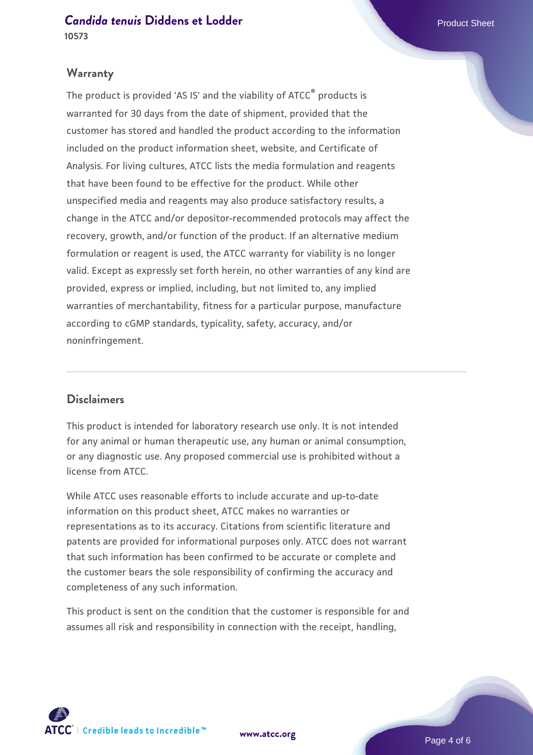#### **Warranty**

The product is provided 'AS IS' and the viability of ATCC® products is warranted for 30 days from the date of shipment, provided that the customer has stored and handled the product according to the information included on the product information sheet, website, and Certificate of Analysis. For living cultures, ATCC lists the media formulation and reagents that have been found to be effective for the product. While other unspecified media and reagents may also produce satisfactory results, a change in the ATCC and/or depositor-recommended protocols may affect the recovery, growth, and/or function of the product. If an alternative medium formulation or reagent is used, the ATCC warranty for viability is no longer valid. Except as expressly set forth herein, no other warranties of any kind are provided, express or implied, including, but not limited to, any implied warranties of merchantability, fitness for a particular purpose, manufacture according to cGMP standards, typicality, safety, accuracy, and/or noninfringement.

### **Disclaimers**

This product is intended for laboratory research use only. It is not intended for any animal or human therapeutic use, any human or animal consumption, or any diagnostic use. Any proposed commercial use is prohibited without a license from ATCC.

While ATCC uses reasonable efforts to include accurate and up-to-date information on this product sheet, ATCC makes no warranties or representations as to its accuracy. Citations from scientific literature and patents are provided for informational purposes only. ATCC does not warrant that such information has been confirmed to be accurate or complete and the customer bears the sole responsibility of confirming the accuracy and completeness of any such information.

This product is sent on the condition that the customer is responsible for and assumes all risk and responsibility in connection with the receipt, handling,



**[www.atcc.org](http://www.atcc.org)**

Page 4 of 6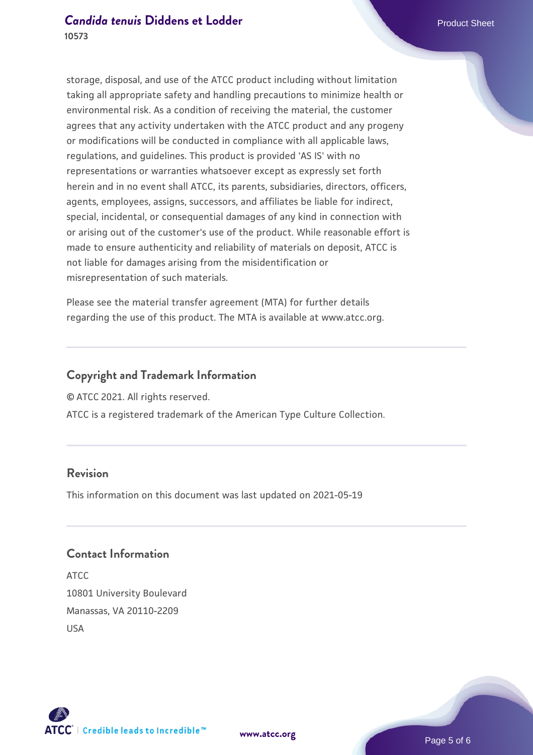storage, disposal, and use of the ATCC product including without limitation taking all appropriate safety and handling precautions to minimize health or environmental risk. As a condition of receiving the material, the customer agrees that any activity undertaken with the ATCC product and any progeny or modifications will be conducted in compliance with all applicable laws, regulations, and guidelines. This product is provided 'AS IS' with no representations or warranties whatsoever except as expressly set forth herein and in no event shall ATCC, its parents, subsidiaries, directors, officers, agents, employees, assigns, successors, and affiliates be liable for indirect, special, incidental, or consequential damages of any kind in connection with or arising out of the customer's use of the product. While reasonable effort is made to ensure authenticity and reliability of materials on deposit, ATCC is not liable for damages arising from the misidentification or misrepresentation of such materials.

Please see the material transfer agreement (MTA) for further details regarding the use of this product. The MTA is available at www.atcc.org.

## **Copyright and Trademark Information**

© ATCC 2021. All rights reserved.

ATCC is a registered trademark of the American Type Culture Collection.

## **Revision**

This information on this document was last updated on 2021-05-19

## **Contact Information**

ATCC 10801 University Boulevard Manassas, VA 20110-2209 USA